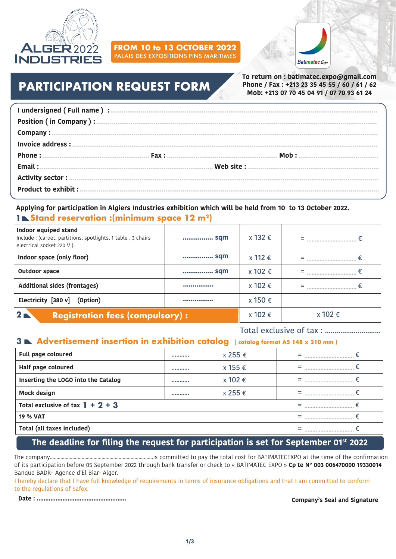

# **FROM 10 to 13 OCTOBER 2022**



# **PARTICIPATION REQUEST FORM**

**To return on : batimatec.expo@gmail.com Phone / Fax : +213 23 35 45 55 / 60 / 61 / 62 Mob: +213 07 70 45 04 91 / 07 70 93 61 24**

#### **Applying for participation in Algiers Industries exhibition which will be held from 10 to 13 October 2022. 1 Stand reservation :(minimum space 12 m²)**

| Indoor equiped stand<br>Include: (carpet, partitions, spotlights, 1 table, 3 chairs<br>electrical socket 220 V). | sqm     | x 132 €     |  |
|------------------------------------------------------------------------------------------------------------------|---------|-------------|--|
| Indoor space (only floor)                                                                                        | sqm     | $x 112 \in$ |  |
| <b>Outdoor space</b>                                                                                             | sqm     | x 102 €     |  |
| Additional sides (frontages)                                                                                     |         | x 102 €     |  |
| Electricity [380 v]<br>(Option)                                                                                  |         | x 150 €     |  |
| 2 <sub>l</sub><br><b>Registration fees (compulsory):</b>                                                         | x 102 € | x 102 €     |  |

Total exclusive of tax : .............................

#### **3 Advertisement insertion in exhibition catalog ( catalog format A5 148 x 210 mm )**

| Full page coloured                  | <br>x 255 € | ,,,,,,,,,,,,,,,,,,,,,,,,,,,,,,, |
|-------------------------------------|-------------|---------------------------------|
| Half page coloured                  | <br>x 155 € | ,,,,,,,,,,,,,,,,,,,,,,,,,,,,,,, |
| Inserting the LOGO into the Catalog | <br>x 102 € |                                 |
| <b>Mock design</b>                  | <br>x 255 € |                                 |
| Total exclusive of tax $1 + 2 + 3$  |             |                                 |
| <b>19 % VAT</b>                     |             |                                 |
| Total (all taxes included)          |             |                                 |

#### **The deadline for filing the request for participation is set for September 01st 2022**

The company..............................................................................is committed to pay the total cost for BATIMATECEXPO at the time of the confirmation of its participation before 05 September 2022 through bank transfer or check to « BATIMATEC EXPO » **Cp te N° 003 006470000 19330014** Banque BADR– Agence d'El Biar- Alger.

I hereby declare that I have full knowledge of requirements in terms of insurance obligations and that I am committed to conform to the regulations of Safex.

**Date : .................................................... Company's Seal and Signature**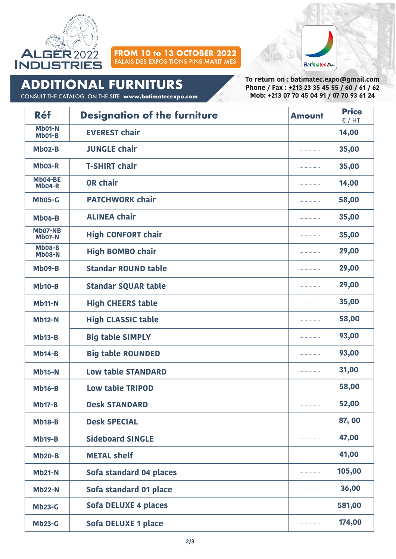

# **FROM 10 to 13 OCTOBER 2022**



**ADDITIONAL FURNITURS**

CONSULT THE CATALOG, ON THE SITE **www.batimatecexpo.com**

**To return on : batimatec.expo@gmail.com Phone / Fax : +213 23 35 45 55 / 60 / 61 / 62 Mob: +213 07 70 45 04 91 / 07 70 93 61 24**

| <b>Réf</b>                     | <b>Designation of the furniture</b> | <b>Amount</b> | <b>Price</b><br>$\epsilon$ / HT |
|--------------------------------|-------------------------------------|---------------|---------------------------------|
| Mb01-N<br><b>Mb01-B</b>        | <b>EVEREST chair</b>                |               | 14,00                           |
| $Mb02-B$                       | <b>JUNGLE chair</b>                 | .             | 35,00                           |
| Mb03-R                         | <b>T-SHIRT chair</b>                | .             | 35,00                           |
| Mb04-BE<br>$Mb04-R$            | <b>OR chair</b>                     |               | 14,00                           |
| <b>Mb05-G</b>                  | <b>PATCHWORK chair</b>              |               | 58,00                           |
| <b>Mb06-B</b>                  | <b>ALINEA chair</b>                 |               | 35,00                           |
| Mb07-NB<br><b>Mb07-N</b>       | <b>High CONFORT chair</b>           |               | 35,00                           |
| <b>Mb08-B</b><br><b>Mb08-N</b> | <b>High BOMBO chair</b>             |               | 29,00                           |
| <b>Mb09-B</b>                  | <b>Standar ROUND table</b>          |               | 29,00                           |
| <b>Mb10-B</b>                  | <b>Standar SQUAR table</b>          |               | 29,00                           |
| <b>Mb11-N</b>                  | <b>High CHEERS table</b>            |               | 35,00                           |
| <b>Mb12-N</b>                  | <b>High CLASSIC table</b>           |               | 58,00                           |
| $Mb13-B$                       | <b>Big table SIMPLY</b>             |               | 93,00                           |
| $Mb14-B$                       | <b>Big table ROUNDED</b>            |               | 93,00                           |
| <b>Mb15-N</b>                  | <b>Low table STANDARD</b>           | .             | 31,00                           |
| <b>Mb16-B</b>                  | <b>Low table TRIPOD</b>             |               | 58,00                           |
| <b>Mb17-B</b>                  | <b>Desk STANDARD</b>                | .             | 52,00                           |
| <b>Mb18-B</b>                  | <b>Desk SPECIAL</b>                 |               | 87,00                           |
| $Mb19-B$                       | <b>Sideboard SINGLE</b>             |               | 47,00                           |
| <b>Mb20-B</b>                  | <b>METAL shelf</b>                  | .             | 41,00                           |
| <b>Mb21-N</b>                  | Sofa standard 04 places             |               | 105,00                          |
| <b>Mb22-N</b>                  | Sofa standard 01 place              |               | 36,00                           |
| <b>Mb23-G</b>                  | Sofa DELUXE 4 places                |               | 581,00                          |
| <b>Mb23-G</b>                  | Sofa DELUXE 1 place                 |               | 174,00                          |